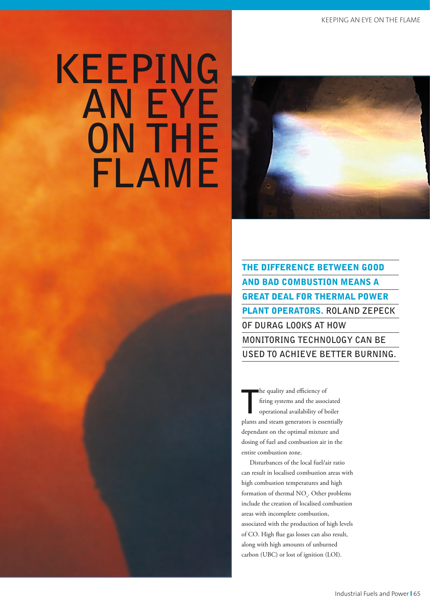# **KEEPING AN EYE ON THE FLAME**



the difference between good and bad combustion means a great deal For Thermal Power plant operators. **Roland Zepeck of DURAg looks at how monitoring technology can be used to achieve better burning.** 

**T** he quality and efficiency of firing systems and the associated operational availability of boiler plants and steam generators is essentially dependant on the optimal mixture and dosing of fuel and combustion air in the entire combustion zone.

Disturbances of the local fuel/air ratio can result in localised combustion areas with high combustion temperatures and high formation of thermal  $\rm NO_{\tiny x}$ . Other problems include the creation of localised combustion areas with incomplete combustion, associated with the production of high levels of CO. High flue gas losses can also result, along with high amounts of unburned carbon (UBC) or lost of ignition (LOI).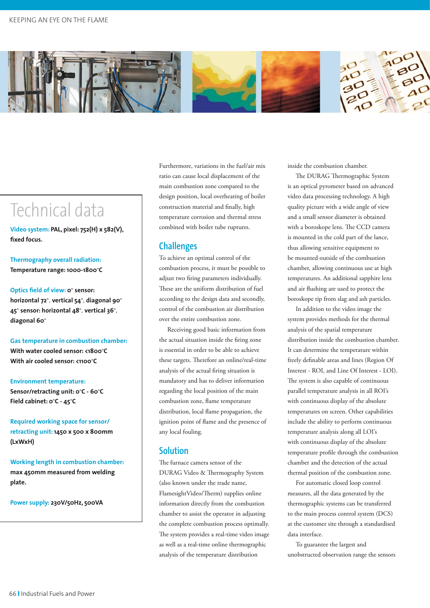

## Technical data

**Video system: PAL, pixel: 752(H) x 582(V), fixed focus.**

**Thermography overall radiation: Temperature range: 1000-1800**°**C**

**Optics field of view: 0**° **sensor: horizontal 72**°, **vertical 54**°, **diagonal 90**° **45**° **sensor: horizontal 48**°, **vertical 36**°, **diagonal 60**°

**Gas temperature in combustion chamber: With water cooled sensor: <1800**°**C With air cooled sensor: <1100**°**C**

#### **Environment temperature:**

**Sensor/retracting unit: 0**°**C - 60**°**C Field cabinet: 0**°**C - 45**°**C**

**Required working space for sensor/ retracting unit: 1450 x 500 x 800mm (LxWxH)**

**Working length in combustion chamber: max 450mm measured from welding plate.**

**Power supply: 230V/50Hz, 500VA**

Furthermore, variations in the fuel/air mix ratio can cause local displacement of the main combustion zone compared to the design position, local overheating of boiler construction material and finally, high temperature corrosion and thermal stress combined with boiler tube ruptures.

#### **Challenges**

To achieve an optimal control of the combustion process, it must be possible to adjust two firing parameters individually. These are the uniform distribution of fuel according to the design data and secondly, control of the combustion air distribution over the entire combustion zone.

Receiving good basic information from the actual situation inside the firing zone is essential in order to be able to achieve these targets. Therefore an online/real-time analysis of the actual firing situation is mandatory and has to deliver information regarding the local position of the main combustion zone, flame temperature distribution, local flame propagation, the ignition point of flame and the presence of any local fouling.

#### **Solution**

The furnace camera sensor of the DURAG Video & Thermography System (also known under the trade name, FlamesightVideo/Therm) supplies online information directly from the combustion chamber to assist the operator in adjusting the complete combustion process optimally. The system provides a real-time video image as well as a real-time online thermographic analysis of the temperature distribution

inside the combustion chamber.

The DURAG Thermographic System is an optical pyrometer based on advanced video data processing technology. A high quality picture with a wide angle of view and a small sensor diameter is obtained with a boroskope lens. The CCD camera is mounted in the cold part of the lance, thus allowing sensitive equipment to be mounted outside of the combustion chamber, allowing continuous use at high temperatures. An additional sapphire lens and air flushing are used to protect the boroskope tip from slag and ash particles.

In addition to the video image the system provides methods for the thermal analysis of the spatial temperature distribution inside the combustion chamber. It can determine the temperature within freely definable areas and lines (Region Of Interest - ROI, and Line Of Interest - LOI). The system is also capable of continuous parallel temperature analysis in all ROI's with continuous display of the absolute temperatures on screen. Other capabilities include the ability to perform continuous temperature analysis along all LOI's with continuous display of the absolute temperature profile through the combustion chamber and the detection of the actual thermal position of the combustion zone.

For automatic closed loop control measures, all the data generated by the thermographic systems can be transferred to the main process control system (DCS) at the customer site through a standardised data interface.

To guarantee the largest and unobstructed observation range the sensors